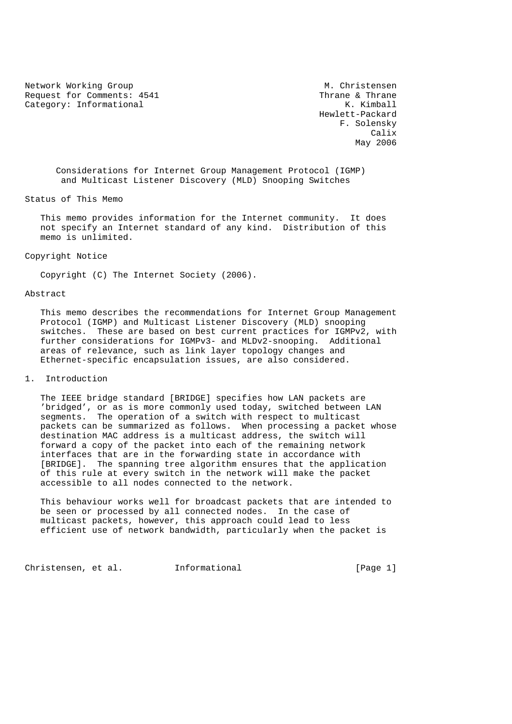Network Working Group Metwork Working Group Metwork Metal Request for Comments: 4541 Thrane & Thrane Category: Informational  $K.$  Kimball

 Hewlett-Packard F. Solensky calix and the contract of the contract of the contract of the contract of the contract of the contract of the contract of the contract of the contract of the contract of the contract of the contract of the contract of the May 2006 and the May 2006 state of the May 2006 state of the May 2006 state of the May 2006 state of the May 2006 state of the May 2006 state of the May 2006 state of the May 2006 state of the May 2006 state of the May 200

 Considerations for Internet Group Management Protocol (IGMP) and Multicast Listener Discovery (MLD) Snooping Switches

Status of This Memo

 This memo provides information for the Internet community. It does not specify an Internet standard of any kind. Distribution of this memo is unlimited.

Copyright Notice

Copyright (C) The Internet Society (2006).

Abstract

 This memo describes the recommendations for Internet Group Management Protocol (IGMP) and Multicast Listener Discovery (MLD) snooping switches. These are based on best current practices for IGMPv2, with further considerations for IGMPv3- and MLDv2-snooping. Additional areas of relevance, such as link layer topology changes and Ethernet-specific encapsulation issues, are also considered.

## 1. Introduction

 The IEEE bridge standard [BRIDGE] specifies how LAN packets are 'bridged', or as is more commonly used today, switched between LAN segments. The operation of a switch with respect to multicast packets can be summarized as follows. When processing a packet whose destination MAC address is a multicast address, the switch will forward a copy of the packet into each of the remaining network interfaces that are in the forwarding state in accordance with [BRIDGE]. The spanning tree algorithm ensures that the application of this rule at every switch in the network will make the packet accessible to all nodes connected to the network.

 This behaviour works well for broadcast packets that are intended to be seen or processed by all connected nodes. In the case of multicast packets, however, this approach could lead to less efficient use of network bandwidth, particularly when the packet is

Christensen, et al. 1nformational (Page 1)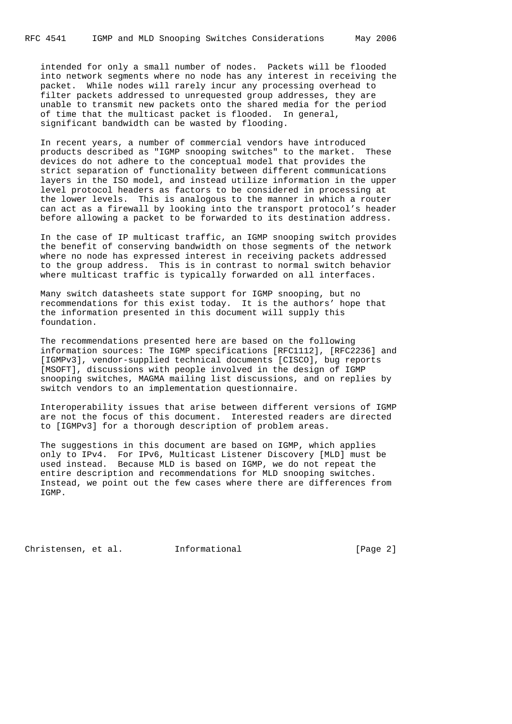intended for only a small number of nodes. Packets will be flooded into network segments where no node has any interest in receiving the packet. While nodes will rarely incur any processing overhead to filter packets addressed to unrequested group addresses, they are unable to transmit new packets onto the shared media for the period of time that the multicast packet is flooded. In general, significant bandwidth can be wasted by flooding.

 In recent years, a number of commercial vendors have introduced products described as "IGMP snooping switches" to the market. These devices do not adhere to the conceptual model that provides the strict separation of functionality between different communications layers in the ISO model, and instead utilize information in the upper level protocol headers as factors to be considered in processing at the lower levels. This is analogous to the manner in which a router can act as a firewall by looking into the transport protocol's header before allowing a packet to be forwarded to its destination address.

 In the case of IP multicast traffic, an IGMP snooping switch provides the benefit of conserving bandwidth on those segments of the network where no node has expressed interest in receiving packets addressed to the group address. This is in contrast to normal switch behavior where multicast traffic is typically forwarded on all interfaces.

 Many switch datasheets state support for IGMP snooping, but no recommendations for this exist today. It is the authors' hope that the information presented in this document will supply this foundation.

 The recommendations presented here are based on the following information sources: The IGMP specifications [RFC1112], [RFC2236] and [IGMPv3], vendor-supplied technical documents [CISCO], bug reports [MSOFT], discussions with people involved in the design of IGMP snooping switches, MAGMA mailing list discussions, and on replies by switch vendors to an implementation questionnaire.

 Interoperability issues that arise between different versions of IGMP are not the focus of this document. Interested readers are directed to [IGMPv3] for a thorough description of problem areas.

 The suggestions in this document are based on IGMP, which applies only to IPv4. For IPv6, Multicast Listener Discovery [MLD] must be used instead. Because MLD is based on IGMP, we do not repeat the entire description and recommendations for MLD snooping switches. Instead, we point out the few cases where there are differences from IGMP.

Christensen, et al. Informational (Page 2)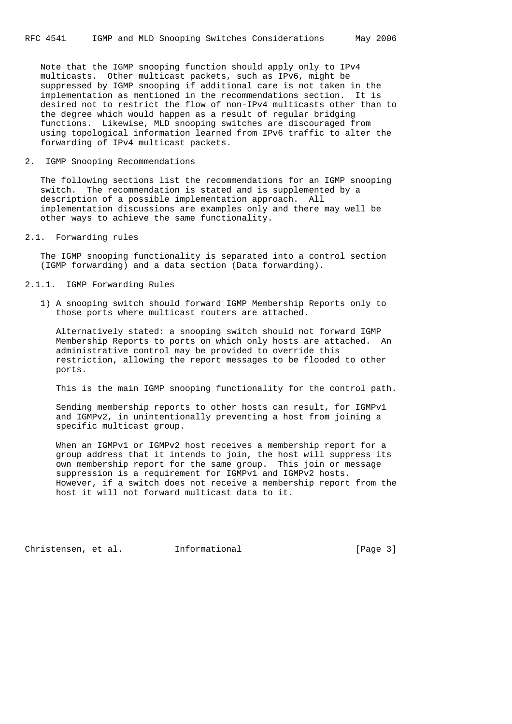Note that the IGMP snooping function should apply only to IPv4 multicasts. Other multicast packets, such as IPv6, might be suppressed by IGMP snooping if additional care is not taken in the implementation as mentioned in the recommendations section. It is desired not to restrict the flow of non-IPv4 multicasts other than to the degree which would happen as a result of regular bridging functions. Likewise, MLD snooping switches are discouraged from using topological information learned from IPv6 traffic to alter the forwarding of IPv4 multicast packets.

### 2. IGMP Snooping Recommendations

 The following sections list the recommendations for an IGMP snooping switch. The recommendation is stated and is supplemented by a description of a possible implementation approach. All implementation discussions are examples only and there may well be other ways to achieve the same functionality.

2.1. Forwarding rules

 The IGMP snooping functionality is separated into a control section (IGMP forwarding) and a data section (Data forwarding).

# 2.1.1. IGMP Forwarding Rules

 1) A snooping switch should forward IGMP Membership Reports only to those ports where multicast routers are attached.

 Alternatively stated: a snooping switch should not forward IGMP Membership Reports to ports on which only hosts are attached. An administrative control may be provided to override this restriction, allowing the report messages to be flooded to other ports.

This is the main IGMP snooping functionality for the control path.

 Sending membership reports to other hosts can result, for IGMPv1 and IGMPv2, in unintentionally preventing a host from joining a specific multicast group.

 When an IGMPv1 or IGMPv2 host receives a membership report for a group address that it intends to join, the host will suppress its own membership report for the same group. This join or message suppression is a requirement for IGMPv1 and IGMPv2 hosts. However, if a switch does not receive a membership report from the host it will not forward multicast data to it.

Christensen, et al. Informational (Page 3)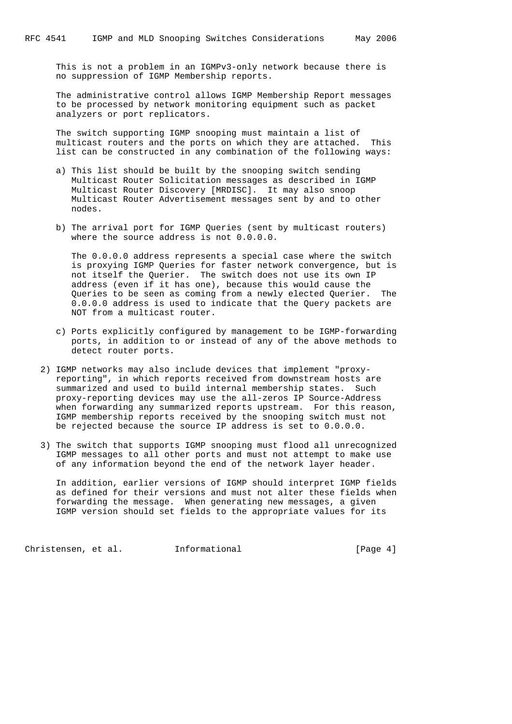This is not a problem in an IGMPv3-only network because there is no suppression of IGMP Membership reports.

 The administrative control allows IGMP Membership Report messages to be processed by network monitoring equipment such as packet analyzers or port replicators.

 The switch supporting IGMP snooping must maintain a list of multicast routers and the ports on which they are attached. This list can be constructed in any combination of the following ways:

- a) This list should be built by the snooping switch sending Multicast Router Solicitation messages as described in IGMP Multicast Router Discovery [MRDISC]. It may also snoop Multicast Router Advertisement messages sent by and to other nodes.
- b) The arrival port for IGMP Queries (sent by multicast routers) where the source address is not  $0.0.0.0$ .

 The 0.0.0.0 address represents a special case where the switch is proxying IGMP Queries for faster network convergence, but is not itself the Querier. The switch does not use its own IP address (even if it has one), because this would cause the Queries to be seen as coming from a newly elected Querier. The 0.0.0.0 address is used to indicate that the Query packets are NOT from a multicast router.

- c) Ports explicitly configured by management to be IGMP-forwarding ports, in addition to or instead of any of the above methods to detect router ports.
- 2) IGMP networks may also include devices that implement "proxy reporting", in which reports received from downstream hosts are summarized and used to build internal membership states. Such proxy-reporting devices may use the all-zeros IP Source-Address when forwarding any summarized reports upstream. For this reason, IGMP membership reports received by the snooping switch must not be rejected because the source IP address is set to 0.0.0.0.
- 3) The switch that supports IGMP snooping must flood all unrecognized IGMP messages to all other ports and must not attempt to make use of any information beyond the end of the network layer header.

 In addition, earlier versions of IGMP should interpret IGMP fields as defined for their versions and must not alter these fields when forwarding the message. When generating new messages, a given IGMP version should set fields to the appropriate values for its

Christensen, et al. Informational [Page 4]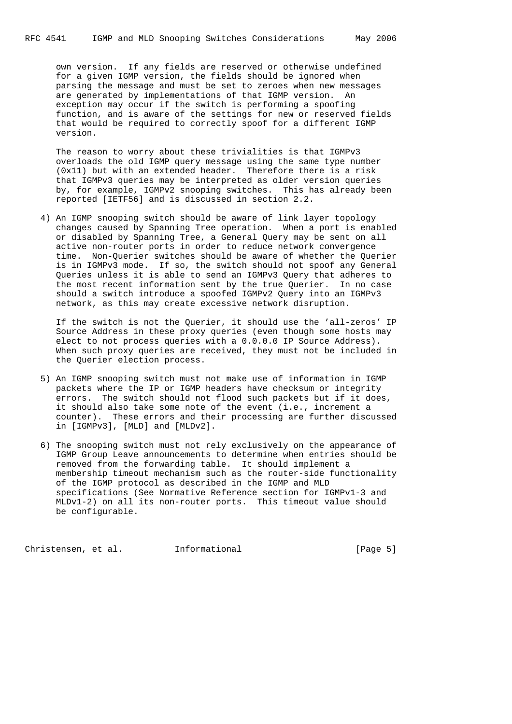own version. If any fields are reserved or otherwise undefined for a given IGMP version, the fields should be ignored when parsing the message and must be set to zeroes when new messages are generated by implementations of that IGMP version. An exception may occur if the switch is performing a spoofing function, and is aware of the settings for new or reserved fields that would be required to correctly spoof for a different IGMP version.

 The reason to worry about these trivialities is that IGMPv3 overloads the old IGMP query message using the same type number (0x11) but with an extended header. Therefore there is a risk that IGMPv3 queries may be interpreted as older version queries by, for example, IGMPv2 snooping switches. This has already been reported [IETF56] and is discussed in section 2.2.

 4) An IGMP snooping switch should be aware of link layer topology changes caused by Spanning Tree operation. When a port is enabled or disabled by Spanning Tree, a General Query may be sent on all active non-router ports in order to reduce network convergence time. Non-Querier switches should be aware of whether the Querier is in IGMPv3 mode. If so, the switch should not spoof any General Queries unless it is able to send an IGMPv3 Query that adheres to the most recent information sent by the true Querier. In no case should a switch introduce a spoofed IGMPv2 Query into an IGMPv3 network, as this may create excessive network disruption.

 If the switch is not the Querier, it should use the 'all-zeros' IP Source Address in these proxy queries (even though some hosts may elect to not process queries with a 0.0.0.0 IP Source Address). When such proxy queries are received, they must not be included in the Querier election process.

- 5) An IGMP snooping switch must not make use of information in IGMP packets where the IP or IGMP headers have checksum or integrity errors. The switch should not flood such packets but if it does, it should also take some note of the event (i.e., increment a counter). These errors and their processing are further discussed in [IGMPv3], [MLD] and [MLDv2].
- 6) The snooping switch must not rely exclusively on the appearance of IGMP Group Leave announcements to determine when entries should be removed from the forwarding table. It should implement a membership timeout mechanism such as the router-side functionality of the IGMP protocol as described in the IGMP and MLD specifications (See Normative Reference section for IGMPv1-3 and MLDv1-2) on all its non-router ports. This timeout value should be configurable.

Christensen, et al. Informational (Page 5)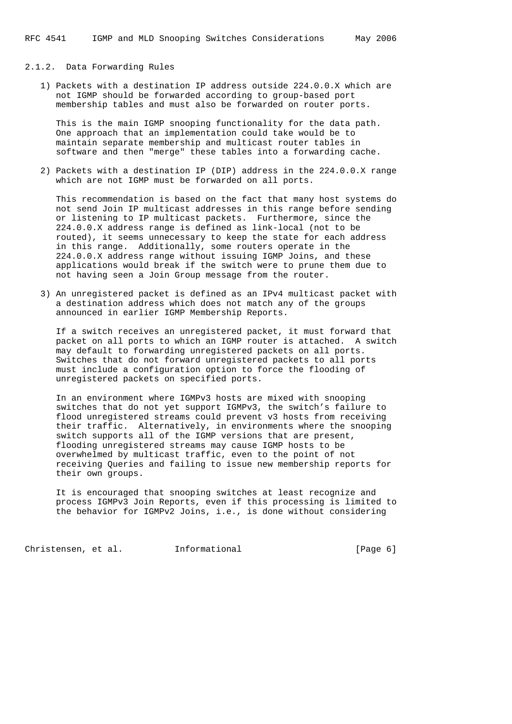# 2.1.2. Data Forwarding Rules

 1) Packets with a destination IP address outside 224.0.0.X which are not IGMP should be forwarded according to group-based port membership tables and must also be forwarded on router ports.

 This is the main IGMP snooping functionality for the data path. One approach that an implementation could take would be to maintain separate membership and multicast router tables in software and then "merge" these tables into a forwarding cache.

 2) Packets with a destination IP (DIP) address in the 224.0.0.X range which are not IGMP must be forwarded on all ports.

 This recommendation is based on the fact that many host systems do not send Join IP multicast addresses in this range before sending or listening to IP multicast packets. Furthermore, since the 224.0.0.X address range is defined as link-local (not to be routed), it seems unnecessary to keep the state for each address in this range. Additionally, some routers operate in the 224.0.0.X address range without issuing IGMP Joins, and these applications would break if the switch were to prune them due to not having seen a Join Group message from the router.

 3) An unregistered packet is defined as an IPv4 multicast packet with a destination address which does not match any of the groups announced in earlier IGMP Membership Reports.

 If a switch receives an unregistered packet, it must forward that packet on all ports to which an IGMP router is attached. A switch may default to forwarding unregistered packets on all ports. Switches that do not forward unregistered packets to all ports must include a configuration option to force the flooding of unregistered packets on specified ports.

 In an environment where IGMPv3 hosts are mixed with snooping switches that do not yet support IGMPv3, the switch's failure to flood unregistered streams could prevent v3 hosts from receiving their traffic. Alternatively, in environments where the snooping switch supports all of the IGMP versions that are present, flooding unregistered streams may cause IGMP hosts to be overwhelmed by multicast traffic, even to the point of not receiving Queries and failing to issue new membership reports for their own groups.

 It is encouraged that snooping switches at least recognize and process IGMPv3 Join Reports, even if this processing is limited to the behavior for IGMPv2 Joins, i.e., is done without considering

Christensen, et al. Informational [Page 6]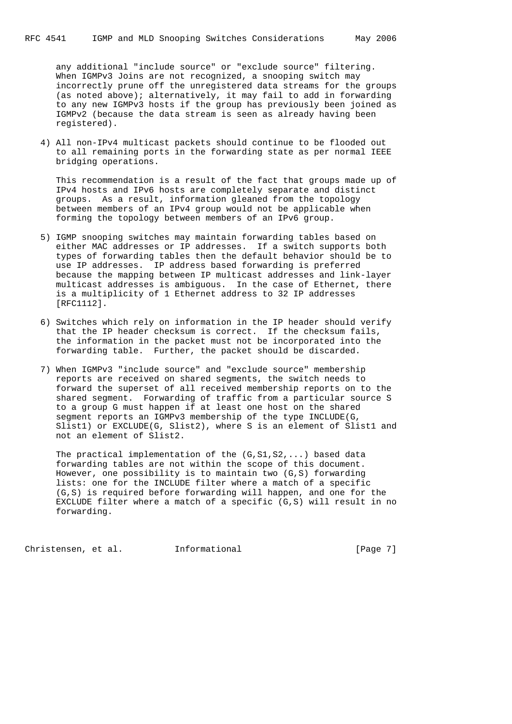any additional "include source" or "exclude source" filtering. When IGMPv3 Joins are not recognized, a snooping switch may incorrectly prune off the unregistered data streams for the groups (as noted above); alternatively, it may fail to add in forwarding to any new IGMPv3 hosts if the group has previously been joined as IGMPv2 (because the data stream is seen as already having been registered).

 4) All non-IPv4 multicast packets should continue to be flooded out to all remaining ports in the forwarding state as per normal IEEE bridging operations.

 This recommendation is a result of the fact that groups made up of IPv4 hosts and IPv6 hosts are completely separate and distinct groups. As a result, information gleaned from the topology between members of an IPv4 group would not be applicable when forming the topology between members of an IPv6 group.

- 5) IGMP snooping switches may maintain forwarding tables based on either MAC addresses or IP addresses. If a switch supports both types of forwarding tables then the default behavior should be to use IP addresses. IP address based forwarding is preferred because the mapping between IP multicast addresses and link-layer multicast addresses is ambiguous. In the case of Ethernet, there is a multiplicity of 1 Ethernet address to 32 IP addresses [RFC1112].
- 6) Switches which rely on information in the IP header should verify that the IP header checksum is correct. If the checksum fails, the information in the packet must not be incorporated into the forwarding table. Further, the packet should be discarded.
- 7) When IGMPv3 "include source" and "exclude source" membership reports are received on shared segments, the switch needs to forward the superset of all received membership reports on to the shared segment. Forwarding of traffic from a particular source S to a group G must happen if at least one host on the shared segment reports an IGMPv3 membership of the type INCLUDE(G, Slist1) or EXCLUDE(G, Slist2), where S is an element of Slist1 and not an element of Slist2.

The practical implementation of the  $(G, S1, S2, ...)$  based data forwarding tables are not within the scope of this document. However, one possibility is to maintain two (G,S) forwarding lists: one for the INCLUDE filter where a match of a specific (G,S) is required before forwarding will happen, and one for the EXCLUDE filter where a match of a specific (G,S) will result in no forwarding.

Christensen, et al. Informational [Page 7]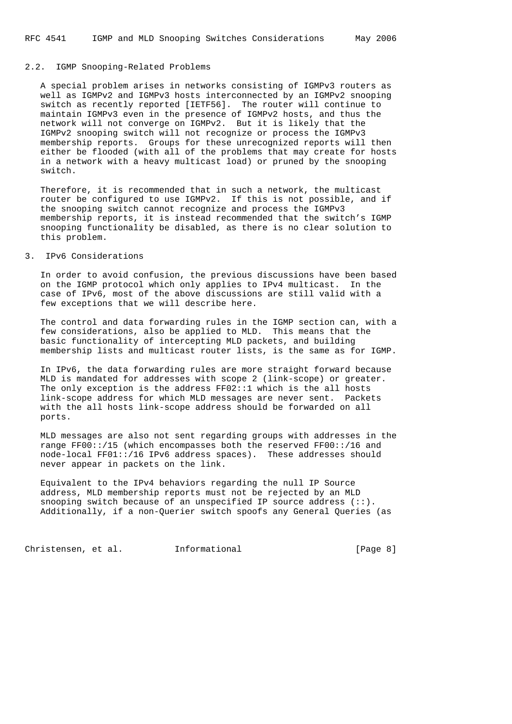#### 2.2. IGMP Snooping-Related Problems

 A special problem arises in networks consisting of IGMPv3 routers as well as IGMPv2 and IGMPv3 hosts interconnected by an IGMPv2 snooping switch as recently reported [IETF56]. The router will continue to maintain IGMPv3 even in the presence of IGMPv2 hosts, and thus the network will not converge on IGMPv2. But it is likely that the IGMPv2 snooping switch will not recognize or process the IGMPv3 membership reports. Groups for these unrecognized reports will then either be flooded (with all of the problems that may create for hosts in a network with a heavy multicast load) or pruned by the snooping switch.

 Therefore, it is recommended that in such a network, the multicast router be configured to use IGMPv2. If this is not possible, and if the snooping switch cannot recognize and process the IGMPv3 membership reports, it is instead recommended that the switch's IGMP snooping functionality be disabled, as there is no clear solution to this problem.

#### 3. IPv6 Considerations

 In order to avoid confusion, the previous discussions have been based on the IGMP protocol which only applies to IPv4 multicast. In the case of IPv6, most of the above discussions are still valid with a few exceptions that we will describe here.

 The control and data forwarding rules in the IGMP section can, with a few considerations, also be applied to MLD. This means that the basic functionality of intercepting MLD packets, and building membership lists and multicast router lists, is the same as for IGMP.

 In IPv6, the data forwarding rules are more straight forward because MLD is mandated for addresses with scope 2 (link-scope) or greater. The only exception is the address FF02::1 which is the all hosts link-scope address for which MLD messages are never sent. Packets with the all hosts link-scope address should be forwarded on all ports.

 MLD messages are also not sent regarding groups with addresses in the range FF00::/15 (which encompasses both the reserved FF00::/16 and node-local FF01::/16 IPv6 address spaces). These addresses should never appear in packets on the link.

 Equivalent to the IPv4 behaviors regarding the null IP Source address, MLD membership reports must not be rejected by an MLD snooping switch because of an unspecified IP source address  $(:).$ Additionally, if a non-Querier switch spoofs any General Queries (as

Christensen, et al. Informational [Page 8]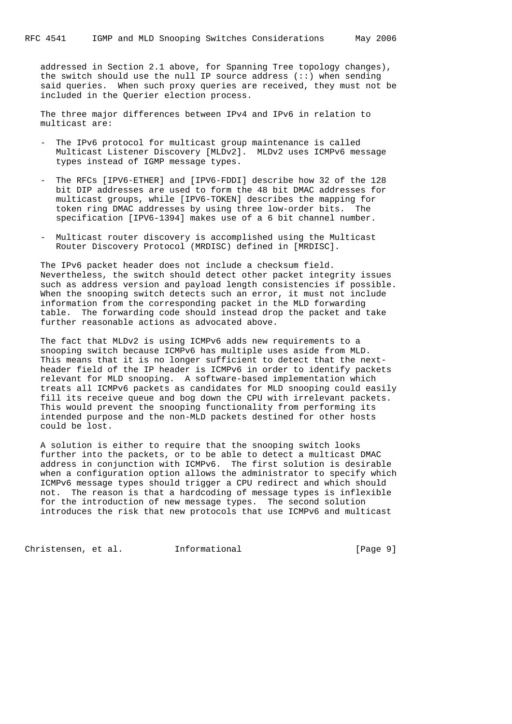addressed in Section 2.1 above, for Spanning Tree topology changes), the switch should use the null IP source address (::) when sending said queries. When such proxy queries are received, they must not be included in the Querier election process.

 The three major differences between IPv4 and IPv6 in relation to multicast are:

- The IPv6 protocol for multicast group maintenance is called Multicast Listener Discovery [MLDv2]. MLDv2 uses ICMPv6 message types instead of IGMP message types.
- The RFCs [IPV6-ETHER] and [IPV6-FDDI] describe how 32 of the 128 bit DIP addresses are used to form the 48 bit DMAC addresses for multicast groups, while [IPV6-TOKEN] describes the mapping for token ring DMAC addresses by using three low-order bits. The specification [IPV6-1394] makes use of a 6 bit channel number.
- Multicast router discovery is accomplished using the Multicast Router Discovery Protocol (MRDISC) defined in [MRDISC].

 The IPv6 packet header does not include a checksum field. Nevertheless, the switch should detect other packet integrity issues such as address version and payload length consistencies if possible. When the snooping switch detects such an error, it must not include information from the corresponding packet in the MLD forwarding table. The forwarding code should instead drop the packet and take further reasonable actions as advocated above.

 The fact that MLDv2 is using ICMPv6 adds new requirements to a snooping switch because ICMPv6 has multiple uses aside from MLD. This means that it is no longer sufficient to detect that the next header field of the IP header is ICMPv6 in order to identify packets relevant for MLD snooping. A software-based implementation which treats all ICMPv6 packets as candidates for MLD snooping could easily fill its receive queue and bog down the CPU with irrelevant packets. This would prevent the snooping functionality from performing its intended purpose and the non-MLD packets destined for other hosts could be lost.

 A solution is either to require that the snooping switch looks further into the packets, or to be able to detect a multicast DMAC address in conjunction with ICMPv6. The first solution is desirable when a configuration option allows the administrator to specify which ICMPv6 message types should trigger a CPU redirect and which should not. The reason is that a hardcoding of message types is inflexible for the introduction of new message types. The second solution introduces the risk that new protocols that use ICMPv6 and multicast

Christensen, et al. Informational [Page 9]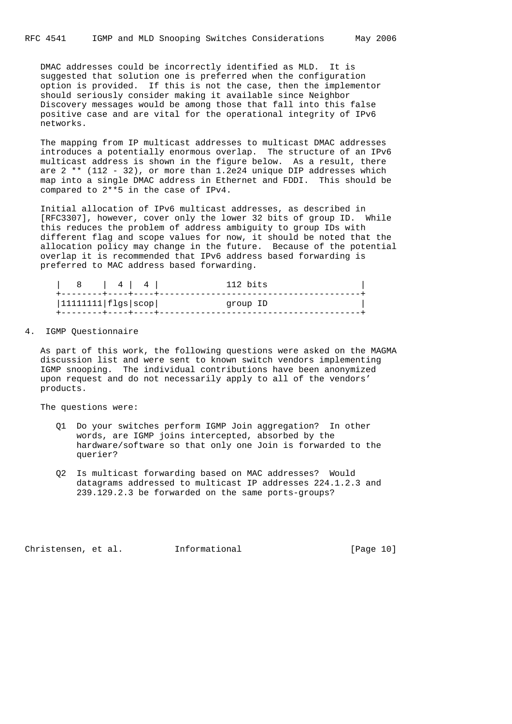DMAC addresses could be incorrectly identified as MLD. It is suggested that solution one is preferred when the configuration option is provided. If this is not the case, then the implementor should seriously consider making it available since Neighbor Discovery messages would be among those that fall into this false positive case and are vital for the operational integrity of IPv6 networks.

 The mapping from IP multicast addresses to multicast DMAC addresses introduces a potentially enormous overlap. The structure of an IPv6 multicast address is shown in the figure below. As a result, there are 2 \*\* (112 - 32), or more than 1.2e24 unique DIP addresses which map into a single DMAC address in Ethernet and FDDI. This should be compared to 2\*\*5 in the case of IPv4.

 Initial allocation of IPv6 multicast addresses, as described in [RFC3307], however, cover only the lower 32 bits of group ID. While this reduces the problem of address ambiguity to group IDs with different flag and scope values for now, it should be noted that the allocation policy may change in the future. Because of the potential overlap it is recommended that IPv6 address based forwarding is preferred to MAC address based forwarding.

| 8   4   4                  |  | 112 bits |
|----------------------------|--|----------|
| $ 11111111 $ flgs $ scop $ |  | group ID |
| +--------+----+----+----   |  |          |

#### 4. IGMP Questionnaire

 As part of this work, the following questions were asked on the MAGMA discussion list and were sent to known switch vendors implementing IGMP snooping. The individual contributions have been anonymized upon request and do not necessarily apply to all of the vendors' products.

The questions were:

- Q1 Do your switches perform IGMP Join aggregation? In other words, are IGMP joins intercepted, absorbed by the hardware/software so that only one Join is forwarded to the querier?
- Q2 Is multicast forwarding based on MAC addresses? Would datagrams addressed to multicast IP addresses 224.1.2.3 and 239.129.2.3 be forwarded on the same ports-groups?

Christensen, et al. Informational [Page 10]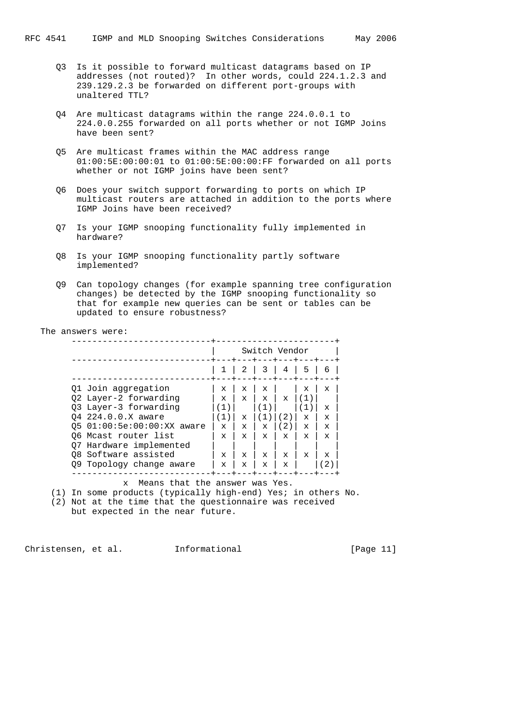- Q3 Is it possible to forward multicast datagrams based on IP addresses (not routed)? In other words, could 224.1.2.3 and 239.129.2.3 be forwarded on different port-groups with unaltered TTL?
- Q4 Are multicast datagrams within the range 224.0.0.1 to 224.0.0.255 forwarded on all ports whether or not IGMP Joins have been sent?
- Q5 Are multicast frames within the MAC address range 01:00:5E:00:00:01 to 01:00:5E:00:00:FF forwarded on all ports whether or not IGMP joins have been sent?
- Q6 Does your switch support forwarding to ports on which IP multicast routers are attached in addition to the ports where IGMP Joins have been received?
- Q7 Is your IGMP snooping functionality fully implemented in hardware?
- Q8 Is your IGMP snooping functionality partly software implemented?
- Q9 Can topology changes (for example spanning tree configuration changes) be detected by the IGMP snooping functionality so that for example new queries can be sent or tables can be updated to ensure robustness?

The answers were:

|                                                    |                 | Switch Vendor               |              |             |                  |  |
|----------------------------------------------------|-----------------|-----------------------------|--------------|-------------|------------------|--|
|                                                    |                 |                             | 3            | 4           | 5                |  |
| 01 Join aggregation<br>02 Layer-2 forwarding       | х<br>x          | x<br>$\mathbf{x}$           | X<br>X       | $\mathbf x$ | X<br>(1          |  |
| 03 Layer-3 forwarding                              |                 |                             |              |             |                  |  |
| 04 224.0.0.X aware<br>05 01:00:5e:00:00:XX aware   | <b>I</b> )<br>X | $\mathbf x$<br>$\mathbf{x}$ | $\mathbf x$  | 2)<br>2)    | $\mathbf x$<br>x |  |
| 06 Mcast router list                               | x               | $\mathbf x$                 | $\mathbf x$  | X           | X                |  |
| Hardware implemented<br>O7<br>08 Software assisted | X               | $\mathbf{x}$                | $\mathbf{x}$ | X           | $\mathbf x$      |  |
| Topology change aware<br>O9.                       | X               | X                           | X            | x           |                  |  |

x Means that the answer was Yes.

(1) In some products (typically high-end) Yes; in others No.

(2) Not at the time that the questionnaire was received

but expected in the near future.

Christensen, et al. Informational [Page 11]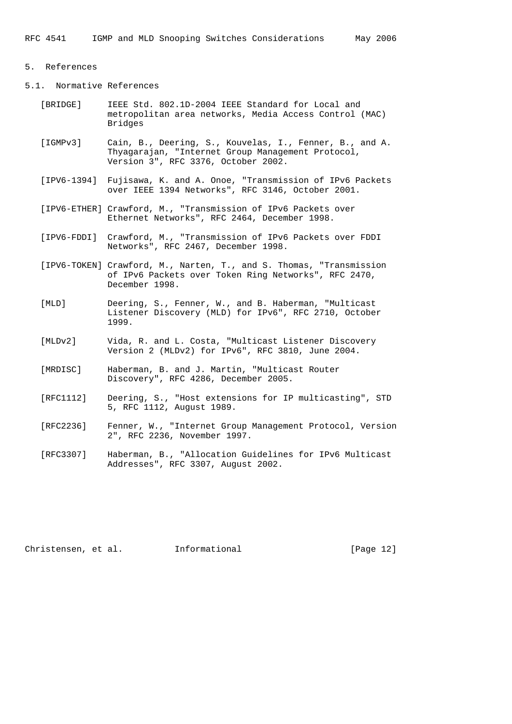#### 5. References

5.1. Normative References

- [BRIDGE] IEEE Std. 802.1D-2004 IEEE Standard for Local and metropolitan area networks, Media Access Control (MAC) Bridges
- [IGMPv3] Cain, B., Deering, S., Kouvelas, I., Fenner, B., and A. Thyagarajan, "Internet Group Management Protocol, Version 3", RFC 3376, October 2002.
- [IPV6-1394] Fujisawa, K. and A. Onoe, "Transmission of IPv6 Packets over IEEE 1394 Networks", RFC 3146, October 2001.
- [IPV6-ETHER] Crawford, M., "Transmission of IPv6 Packets over Ethernet Networks", RFC 2464, December 1998.
- [IPV6-FDDI] Crawford, M., "Transmission of IPv6 Packets over FDDI Networks", RFC 2467, December 1998.
- [IPV6-TOKEN] Crawford, M., Narten, T., and S. Thomas, "Transmission of IPv6 Packets over Token Ring Networks", RFC 2470, December 1998.
- [MLD] Deering, S., Fenner, W., and B. Haberman, "Multicast Listener Discovery (MLD) for IPv6", RFC 2710, October 1999.
	- [MLDv2] Vida, R. and L. Costa, "Multicast Listener Discovery Version 2 (MLDv2) for IPv6", RFC 3810, June 2004.
	- [MRDISC] Haberman, B. and J. Martin, "Multicast Router Discovery", RFC 4286, December 2005.
	- [RFC1112] Deering, S., "Host extensions for IP multicasting", STD 5, RFC 1112, August 1989.
	- [RFC2236] Fenner, W., "Internet Group Management Protocol, Version 2", RFC 2236, November 1997.
	- [RFC3307] Haberman, B., "Allocation Guidelines for IPv6 Multicast Addresses", RFC 3307, August 2002.

| Information |
|-------------|
|             |

al. Information is a contracted a large 12]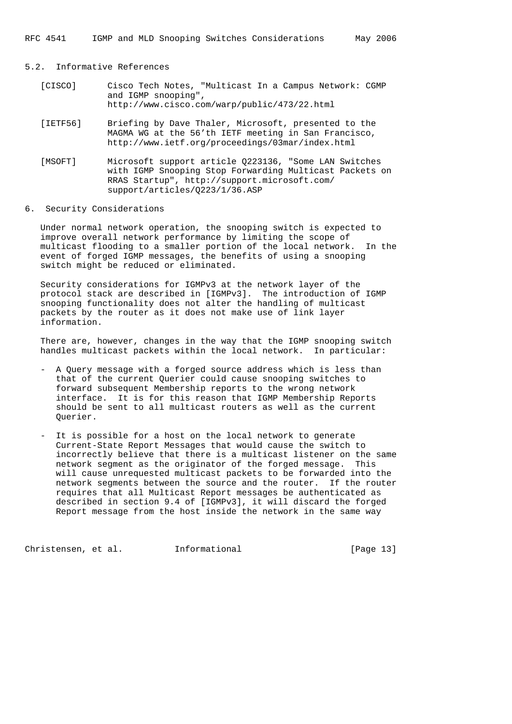RFC 4541 IGMP and MLD Snooping Switches Considerations May 2006

# 5.2. Informative References

| [CISCO] | Cisco Tech Notes, "Multicast In a Campus Network: CGMP |  |  |  |  |  |  |  |  |
|---------|--------------------------------------------------------|--|--|--|--|--|--|--|--|
|         | and IGMP snooping",                                    |  |  |  |  |  |  |  |  |
|         | $http://www.cisco.com/warp/public/473/22.html$         |  |  |  |  |  |  |  |  |

- [IETF56] Briefing by Dave Thaler, Microsoft, presented to the MAGMA WG at the 56'th IETF meeting in San Francisco, http://www.ietf.org/proceedings/03mar/index.html
- [MSOFT] Microsoft support article Q223136, "Some LAN Switches with IGMP Snooping Stop Forwarding Multicast Packets on RRAS Startup", http://support.microsoft.com/ support/articles/Q223/1/36.ASP

## 6. Security Considerations

 Under normal network operation, the snooping switch is expected to improve overall network performance by limiting the scope of multicast flooding to a smaller portion of the local network. In the event of forged IGMP messages, the benefits of using a snooping switch might be reduced or eliminated.

 Security considerations for IGMPv3 at the network layer of the protocol stack are described in [IGMPv3]. The introduction of IGMP snooping functionality does not alter the handling of multicast packets by the router as it does not make use of link layer information.

 There are, however, changes in the way that the IGMP snooping switch handles multicast packets within the local network. In particular:

- A Query message with a forged source address which is less than that of the current Querier could cause snooping switches to forward subsequent Membership reports to the wrong network interface. It is for this reason that IGMP Membership Reports should be sent to all multicast routers as well as the current Querier.
- It is possible for a host on the local network to generate Current-State Report Messages that would cause the switch to incorrectly believe that there is a multicast listener on the same network segment as the originator of the forged message. This will cause unrequested multicast packets to be forwarded into the network segments between the source and the router. If the router requires that all Multicast Report messages be authenticated as described in section 9.4 of [IGMPv3], it will discard the forged Report message from the host inside the network in the same way

Christensen, et al. Informational [Page 13]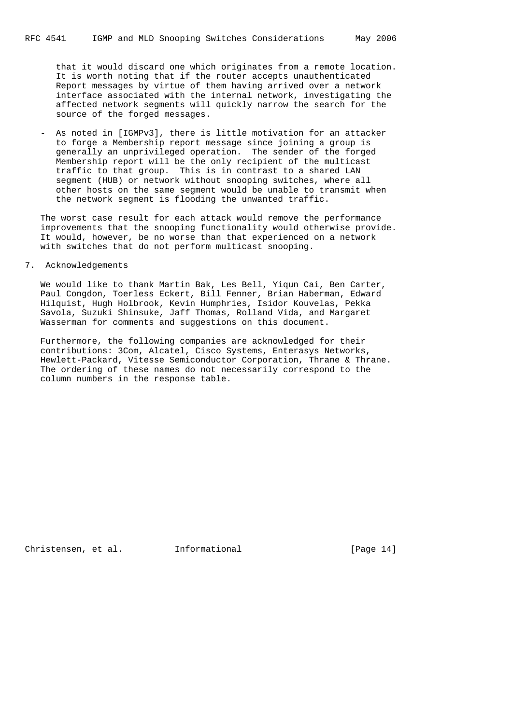that it would discard one which originates from a remote location. It is worth noting that if the router accepts unauthenticated Report messages by virtue of them having arrived over a network interface associated with the internal network, investigating the affected network segments will quickly narrow the search for the source of the forged messages.

 - As noted in [IGMPv3], there is little motivation for an attacker to forge a Membership report message since joining a group is generally an unprivileged operation. The sender of the forged Membership report will be the only recipient of the multicast traffic to that group. This is in contrast to a shared LAN segment (HUB) or network without snooping switches, where all other hosts on the same segment would be unable to transmit when the network segment is flooding the unwanted traffic.

 The worst case result for each attack would remove the performance improvements that the snooping functionality would otherwise provide. It would, however, be no worse than that experienced on a network with switches that do not perform multicast snooping.

7. Acknowledgements

 We would like to thank Martin Bak, Les Bell, Yiqun Cai, Ben Carter, Paul Congdon, Toerless Eckert, Bill Fenner, Brian Haberman, Edward Hilquist, Hugh Holbrook, Kevin Humphries, Isidor Kouvelas, Pekka Savola, Suzuki Shinsuke, Jaff Thomas, Rolland Vida, and Margaret Wasserman for comments and suggestions on this document.

 Furthermore, the following companies are acknowledged for their contributions: 3Com, Alcatel, Cisco Systems, Enterasys Networks, Hewlett-Packard, Vitesse Semiconductor Corporation, Thrane & Thrane. The ordering of these names do not necessarily correspond to the column numbers in the response table.

Christensen, et al. Informational [Page 14]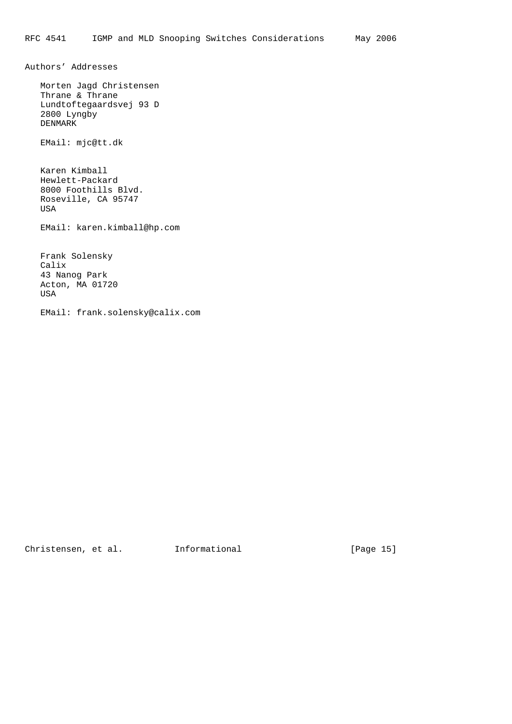Authors' Addresses

 Morten Jagd Christensen Thrane & Thrane Lundtoftegaardsvej 93 D 2800 Lyngby DENMARK

EMail: mjc@tt.dk

 Karen Kimball Hewlett-Packard 8000 Foothills Blvd. Roseville, CA 95747 USA

EMail: karen.kimball@hp.com

 Frank Solensky Calix 43 Nanog Park Acton, MA 01720 USA

EMail: frank.solensky@calix.com

Christensen, et al. 1nformational [Page 15]